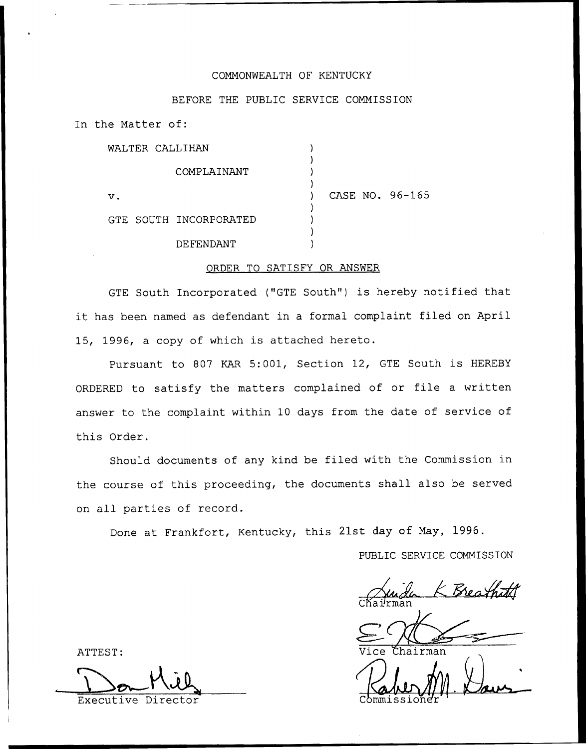# COMMONWEALTH OF KENTUCKY

### BEFORE THE PUBLIC SERVICE COMMISSION

In the Matter of:

| WALTER CALLIHAN |                        |  |                 |
|-----------------|------------------------|--|-----------------|
|                 | COMPLAINANT            |  |                 |
| ν.              |                        |  | CASE NO. 96-165 |
|                 | GTE SOUTH INCORPORATED |  |                 |
|                 | DE FENDANT             |  |                 |

#### ORDER TO SATISFY OR ANSWER

GTE South Incorporated ("GTE South") is hereby notified that it has been named as defendant in <sup>a</sup> formal complaint filed on April 15, 1996, a copy of which is attached hereto.

Pursuant to 807 KAR 5:001, Section 12, GTE South is HEREBY ORDERED to satisfy the matters complained of or file <sup>a</sup> written answer to the complaint within 10 days from the date of service of this Order.

Should documents of any kind be filed with the Commission in the course of this proceeding, the documents shall also be served on all parties of record.

Done at Frankfort, Kentucky, this 21st day of May, 1996.

PUBLIC SERVICE COMMISSION

Chaidrman

ATTEST:

 $M.\Omega$ Executive Director Commissione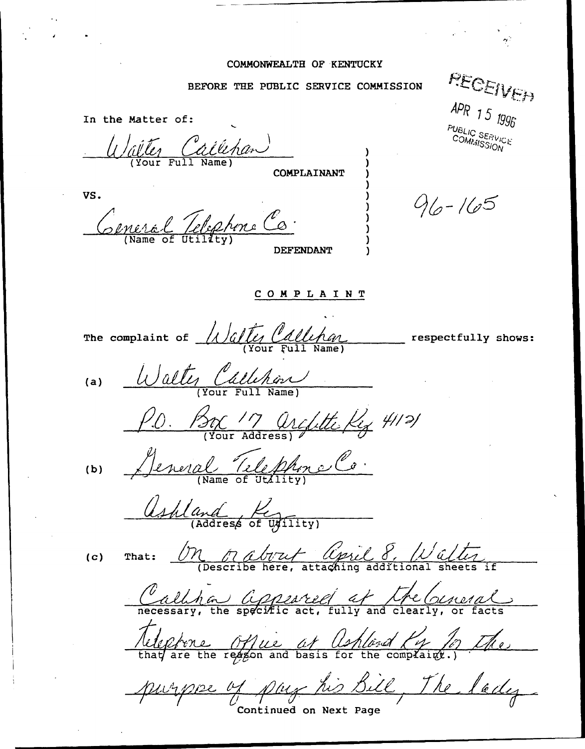#### COMMONWEALTH OF KENTUCKY

# BEFORE THE PUBLIC SERVICE COMMISSION

PECEIVEN  $APR$  15  $1996$ In the Matter of: PUBLIC SERVICE<br>COMMISSION <u>Waiter Callehar</u> ) (Your Full Name) ) **COMPLAINANT** ) VS. )  $96 - 165$ ) ) <u>fnera</u> ) (Name of Utility ) DEFENDANT ) COMPLAINT The complaint of respectfully shows: (Your Full Name) Walter Callepon P.O. Box 17 architectic 41121 Leveral Teleph (b) ashland Keymity (Address of Ufflity)<br>(c) That:  $\frac{\sqrt{7\text{A}}\sqrt{724}}{\text{(Describe here, attaching additional sheets if}}$ (Describe here, attaching additional sheets if<br>
Cullin and Computer of the Culling<br>
necessary, the specific act, fully and clearly, or facts Teleptine Mue at Ashland by Jo the purpose of pay his Bill, The

Continued on Next Page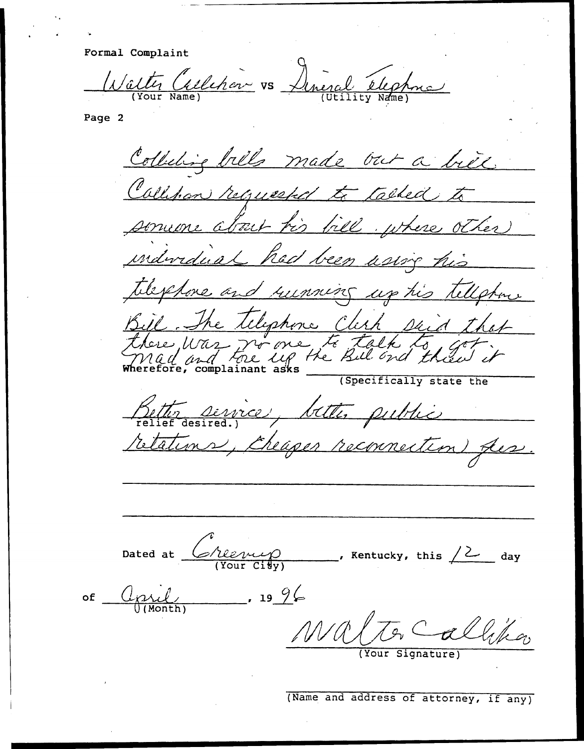Formal Complaint

 $\ell$ er $\sim$  vs (Your Name) (Utility Name)

Page 2

Collecting bills made but a biel someone about his bill. where other telphone and running up his tellphone individual had been asing his Bill. The telephone Click Did that (Specifically state the Better sirvice, bitter public Dated at april U(Month) Yeen poper measured the Rentucky, this  $\sqrt{2}$  day 19~& (Your Signature)

(Name and address of attorney, if any)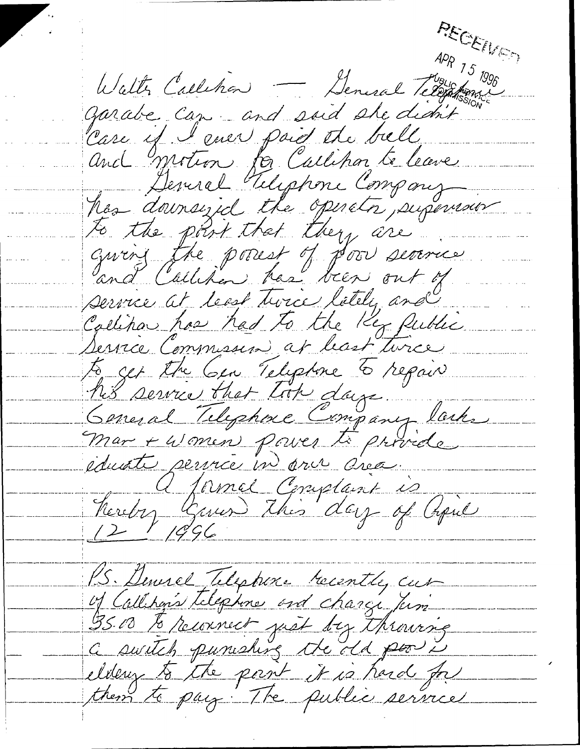PECEIVER  $APR$  15  $1996$ Walter Calletion Deneral Telephone garabe can and said she didn't Care if I ener poid the bell, and motion for Callibrar te leave has downsized the operator, superious to the part that they are giving the power of pow severice and Callinen has been out of service at least twice lately and Callina has had to the Key Public Service Commission at least turce to get the Cen Telephne to regain his service that took days. General Telephone Company larke Mar + Women power to provide educate permier in once créa. Chemier Complaint is  $12 / 1996$ 15. Dennel Jelephere recently cur of Callihop's telephone and charge Jum 35.00 to reconnect just by throwing a switch punishing the old poor is eldery to the paint it is hard for them to pay. The public service